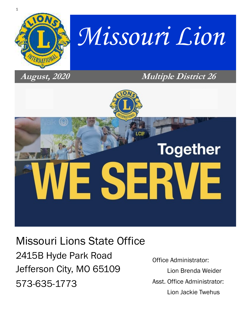

# *Missouri Lion*

### **August, 2020 Multiple District 26**

# **Together**

Missouri Lions State Office 2415B Hyde Park Road Jefferson City, MO 65109 573-635-1773

Office Administrator: Lion Brenda Weider Asst. Office Administrator: Lion Jackie Twehus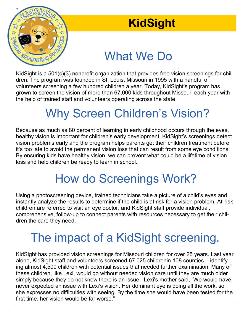

# **KidSight**

# *Creaning Presenting Presentance*

KidSight is a 501(c)(3) nonprofit organization that provides free vision screenings for children. The program was founded in St. Louis, Missouri in 1995 with a handful of volunteers screening a few hundred children a year. Today, KidSight's program has grown to screen the vision of more than 67,000 kids throughout Missouri each year with the help of trained staff and volunteers operating across the state.

# Why Screen Children's Vision?

Because as much as 80 percent of learning in early childhood occurs through the eyes, healthy vision is important for children's early development. KidSight's screenings detect vision problems early and the program helps parents get their children treatment before it's too late to avoid the permanent vision loss that can result from some eye conditions. By ensuring kids have healthy vision, we can prevent what could be a lifetime of vision loss and help children be ready to learn in school.

# How do Screenings Work?

Using a photoscreening device, trained technicians take a picture of a child's eyes and instantly analyze the results to determine if the child is at risk for a vision problem. At-risk children are referred to visit an eye doctor, and KidSight staff provide individual, comprehensive, follow-up to connect parents with resources necessary to get their children the care they need.

# The impact of a KidSight screening.

KidSight has provided vision screenings for Missouri children for over 25 years. Last year alone, KidSight staff and volunteers screened 67,025 childrenin 108 counties – identifying almost 4,500 children with potential issues that needed further examination. Many of these children, like Lexi, would go without needed vision care until they are much older simply because they do not know there is an issue. Lexi's mother said, "We would have never expected an issue with Lexi's vision. Her dominant eye is doing all the work, so she expresses no difficulties with seeing. By the time she would have been tested for the first time, her vision would be far worse."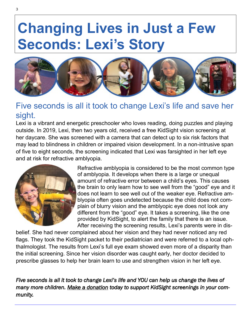# **Changing Lives in Just a Few Seconds: Lexi's Story**



#### Five seconds is all it took to change Lexi's life and save her sight.

Lexi is a vibrant and energetic preschooler who loves reading, doing puzzles and playing outside. In 2019, Lexi, then two years old, received a free KidSight vision screening at her daycare. She was screened with a camera that can detect up to six risk factors that may lead to blindness in children or impaired vision development. In a non-intrusive span of five to eight seconds, the screening indicated that Lexi was farsighted in her left eye and at risk for refractive amblyopia.



Refractive amblyopia is considered to be the most common type of amblyopia. It develops when there is a large or unequal amount of refractive error between a child's eyes. This causes the brain to only learn how to see well from the "good" eye and it does not learn to see well out of the weaker eye. Refractive amblyopia often goes undetected because the child does not complain of blurry vision and the amblyopic eye does not look any different from the "good" eye. It takes a screening, like the one provided by KidSight, to alert the family that there is an issue. After receiving the screening results, Lexi's parents were in dis-

belief. She had never complained about her vision and they had never noticed any red flags. They took the KidSight packet to their pediatrician and were referred to a local ophthalmologist. The results from Lexi's full eye exam showed even more of a disparity than the initial screening. Since her vision disorder was caught early, her doctor decided to prescribe glasses to help her brain learn to use and strengthen vision in her left eye.

*Five seconds is all it took to change Lexi's life and YOU can help us change the lives of many more children. Make a donation today to support KidSight screenings in your community.*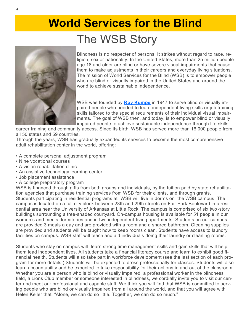# **World Services for the Blind**  The WSB Story



Blindness is no respecter of persons. It strikes without regard to race, religion, sex or nationality. In the United States, more than 25 million people age 18 and older are blind or have severe visual impairments that cause them to make adjustments in their careers and everyday living situations. The mission of World Services for the Blind (WSB) is to empower people who are blind or visually impaired in the United States and around the world to achieve sustainable independence.

WSB was founded by **Roy Kumpe** in 1947 to serve blind or visually impaired people who needed to learn independent living skills or job training skills tailored to the special requirements of their individual visual impairments. The goal of WSB then, and today, is to empower blind or visually impaired people to achieve sustainable independence through life skills,

career training and community access. Since its birth, WSB has served more than 16,000 people from all 50 states and 59 countries.

Through the years, WSB has gradually expanded its services to become the most comprehensive adult rehabilitation center in the world, offering:

- A complete personal adjustment program
- Nine vocational courses
- A vision rehabilitation clinic
- An assistive technology learning center
- Job placement assistance
- A college preparatory program

WSB is financed through gifts from both groups and individuals, by the tuition paid by state rehabilitation agencies that purchase training services from WSB for their clients, and through grants. Students participating in residential programs at WSB will live in dorms on the WSB campus. The campus is located on a full city block between 28th and 29th streets on Fair Park Boulevard in a residential area near the University of Arkansas at Little Rock. The campus is comprised of six two-story buildings surrounding a tree-shaded courtyard. On-campus housing is available for 51 people in our women's and men's dormitories and in two independent-living apartments. Students on our campus are provided 3 meals a day and are provided with a room and a shared bathroom. Cleaning supplies are provided and students will be taught how to keep rooms clean. Students have access to laundry facilities on campus. WSB staff will teach and aid individuals doing their laundry or cleaning rooms.

Students who stay on campus will learn strong time management skills and gain skills that will help them lead independent lives. All students take a financial literacy course and learn to exhibit good financial health. Students will also take part in workforce development (see the last section of each program for more details.) Students will be expected to dress professionally for classes. Students will also learn accountability and be expected to take responsibility for their actions in and out of the classroom. Whether you are a person who is blind or visually impaired, a professional worker in the blindness field, a Lions Club member or someone interested in blindness, we cordially invite you to visit our center and meet our professional and capable staff. We think you will find that WSB is committed to serving people who are blind or visually impaired from all around the world, and that you will agree with Helen Keller that, "Alone, we can do so little. Together, we can do so much."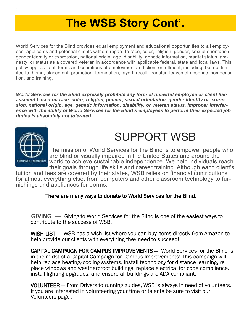# **The WSB Story Cont'.**

World Services for the Blind provides equal employment and educational opportunities to all employees, applicants and potential clients without regard to race, color, religion, gender, sexual orientation, gender identity or expression, national origin, age, disability, genetic information, marital status, amnesty, or status as a covered veteran in accordance with applicable federal, state and local laws. This policy applies to all terms and conditions of employment and client enrollment, including, but not limited to, hiring, placement, promotion, termination, layoff, recall, transfer, leaves of absence, compensation, and training.

*World Services for the Blind expressly prohibits any form of unlawful employee or client harassment based on race, color, religion, gender, sexual orientation, gender identity or expression, national origin, age, genetic information, disability, or veteran status. Improper interference with the ability of World Services for the Blind's employees to perform their expected job duties is absolutely not tolerated.*



# SUPPORT WSB

The mission of World Services for the Blind is to empower people who are blind or visually impaired in the United States and around the world to achieve sustainable independence. We help individuals reach their goals through life skills and career training. Although each client's

tuition and fees are covered by their states, WSB relies on financial contributions for almost everything else, from computers and other classroom technology to furnishings and appliances for dorms.

#### There are many ways to donate to World Services for the Blind.

 **GIVING** — Giving to World Services for the Blind is one of the easiest ways to contribute to the success of WSB.

WISH LIST — WSB has a wish list where you can buy items directly from Amazon to help provide our clients with everything they need to succeed!

CAPITAL CAMPAIGN FOR CAMPUS IMPROVEMENTS — World Services for the Blind is in the midst of a Capital Campaign for Campus Improvements! This campaign will help replace heating/cooling systems, install technology for distance learning, re place windows and weatherproof buildings, replace electrical for code compliance, install lighting upgrades, and ensure all buildings are ADA compliant.

VOLUNTEER — From Drivers to running guides, WSB is always in need of volunteers. If you are interested in volunteering your time or talents be sure to visit our Volunteers page .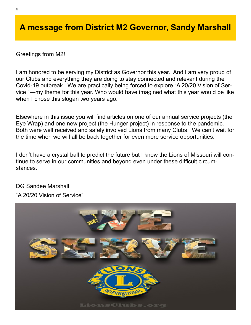#### **A message from District M2 Governor, Sandy Marshall**

Greetings from M2!

I am honored to be serving my District as Governor this year. And I am very proud of our Clubs and everything they are doing to stay connected and relevant during the Covid-19 outbreak. We are practically being forced to explore "A 20/20 Vision of Service "—my theme for this year. Who would have imagined what this year would be like when I chose this slogan two years ago.

Elsewhere in this issue you will find articles on one of our annual service projects (the Eye Wrap) and one new project (the Hunger project) in response to the pandemic. Both were well received and safely involved Lions from many Clubs. We can't wait for the time when we will all be back together for even more service opportunities.

I don't have a crystal ball to predict the future but I know the Lions of Missouri will continue to serve in our communities and beyond even under these difficult circumstances.

#### DG Sandee Marshall

"A 20/20 Vision of Service"

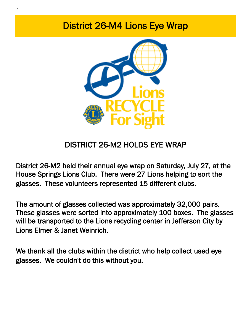## District 26-M4 Lions Eye Wrap



### DISTRICT 26-M2 HOLDS EYE WRAP

District 26-M2 held their annual eye wrap on Saturday, July 27, at the House Springs Lions Club. There were 27 Lions helping to sort the glasses. These volunteers represented 15 different clubs.

The amount of glasses collected was approximately 32,000 pairs. These glasses were sorted into approximately 100 boxes. The glasses will be transported to the Lions recycling center in Jefferson City by Lions Elmer & Janet Weinrich.

We thank all the clubs within the district who help collect used eye glasses. We couldn't do this without you.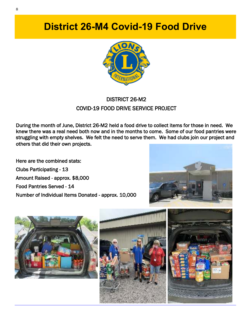**District 26-M4 Covid-19 Food Drive** 



#### DISTRICT 26-M2 COVID-19 FOOD DRIVE SERVICE PROJECT

During the month of June, District 26-M2 held a food drive to collect items for those in need. We knew there was a real need both now and in the months to come. Some of our food pantries were struggling with empty shelves. We felt the need to serve them. We had clubs join our project and others that did their own projects.

Here are the combined stats: Clubs Participating - 13 Amount Raised - approx. \$8,000 Food Pantries Served - 14 Number of Individual Items Donated - approx. 10,000







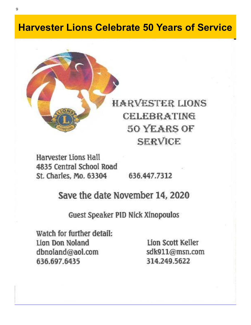## **Harvester Lions Celebrate 50 Years of Service**



# **HARVESTER LIONS CELEBRATING 50 YEARS OF SERVICE**

Harvester Lions Hall 4835 Central School Road St. Charles, Mo. 63304

636.447.7312

### Save the date November 14, 2020

#### Guest Speaker PID Nick Xinopoulos

Watch for further detail: Lion Don Noland dbnoland@aol.com 636.697.6435

Lion Scott Keller sdk911@msn.com 314.249.5622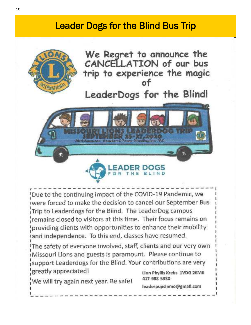## **Leader Dogs for the Blind Bus Trip**



We Regret to announce the CANCELLATION of our bus trip to experience the magic

## LeaderDogs for the Blind!



Oue to the continuing impact of the COVID-19 Pandemic, we iwere forced to make the decision to cancel our September Bus Trip to Leaderdogs for the Blind. The LeaderDog campus remains closed to visitors at this time. Their focus remains on providing clients with opportunities to enhance their mobility and independence. To this end, classes have resumed.

The safety of everyone involved, staff, clients and our very own iMissouri Lions and guests is paramount. Please continue to support Leaderdogs for the Blind. Your contributions are very greatly appreciated! Lion Phyllis Krebs 1VDG 26M6

We will try again next year. Be safe!

417-988-5330

leaderpupsinmo@gmall.com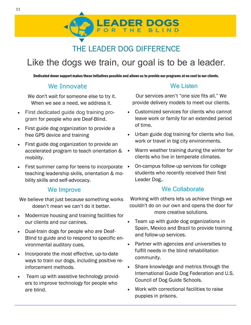## THE LEADER DOG DIFFERENCE

**EADER DOGS** 

## Like the dogs we train, our goal is to be a leader.

Dedicated donor support makes these initiatives possible and allows us to provide our programs at no cost to our clients.

#### We Innovate

We don't wait for someone else to try it. When we see a need, we address it.

- First dedicated guide dog training program for people who are Deaf-Blind.
- First guide dog organization to provide a free GPS device and training
- First guide dog organization to provide an accelerated program to teach orientation & mobility.
- $\bullet$  First summer camp for teens to incorporate  $\bullet$ teaching leadership skills, orientation & mobility skills and self-advocacy.

#### We Improve

We believe that just because something works doesn't mean we can't do it better.

- Modernize housing and training facilities for our clients and our canines.
- Dual-train dogs for people who are Deaf-Blind to guide and to respond to specific environmental auditory cues,
- Incorporate the most effective, up-to-date ways to train our dogs, including positive reinforcement methods.
- Team up with assistive technology providers to improve technology for people who are blind.

#### We Listen

Our services aren't "one size fits all." We provide delivery models to meet our clients.

- Customized services for clients who cannot leave work or family for an extended period of time.
- Urban guide dog training for clients who live, work or travel in big city environments.
- Warm weather training during the winter for clients who live in temperate climates.
- On-campus follow-up services for college students who recently received their first Leader Dog,.

#### We Collaborate

Working with others lets us achieve things we couldn't do on our own and opens the door for more creative solutions.

- Team up with guide dog organizations in Spain, Mexico and Brazil to provide training and follow-up services.
- Partner with agencies and universities to fulfill needs in the blind rehabilitation community.
- Share knowledge and metrics through the International Guide Dog Federation and U.S. Council of Dog Guide Schools.
- Work with correctional facilities to raise puppies in prisons.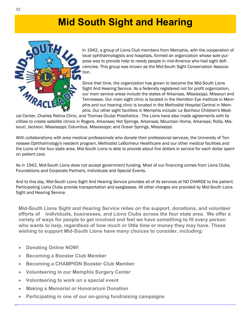## **Mid South Sight and Hearing**



In 1942, a group of Lions Club members from Memphis, with the cooperation of local ophthalmologists and hospitals, formed an organization whose sole purpose was to provide help to needy people in mid-America who had sight deficiencies. This group was known as the Mid-South Sight Conservation Association.

Since that time, the organization has grown to become the Mid-South Lions Sight And Hearing Service. As a federally registered not for profit organization, our main service areas include the states of Arkansas, Mississippi, Missouri and Tennessee. Our main sight clinic is located in the Hamilton Eye Institute in Memphis and our hearing clinic is located in the Methodist Hospital Central in Memphis. Our other sight facilities in Memphis include: Le Bonheur Children's Medi-

cal Center, Charles Retina Clinic, and Thomas Ocular Prosthetics . The Lions have also made agreements with facilities to create satellite clinics in Rogers, Arkansas; Hot Springs, Arkansas; Mountain Home, Arkansas; Rolla, Missouri; Jackson, Mississippi; Columbus, Mississippi; and Ocean Springs, Mississippi.

With collaborations with area medical professionals who donate their professional services, the University of Tennessee Ophthalmology's resident program, Methodist LeBonheur Healthcare and our other medical facilities and the Lions of the four state area, Mid-South Lions is able to provide about five dollars in service for each dollar spent on patient care.

As in 1942, Mid-South Lions does not accept government funding. Most of our financing comes from Lions Clubs, Foundations and Corporate Partners, Individuals and Special Events.

And to this day, Mid-South Lions Sight And Hearing Service provides all of its services at NO CHARGE to the patient. Participating Lions Clubs provide transportation and eyeglasses. All other charges are provided by Mid-South Lions Sight and Hearing Service.

**Mid-South Lions Sight and Hearing Service relies on the support, donations, and volunteer efforts of individuals, businesses, and Lions Clubs across the four state area. We offer a variety of ways for people to get involved and feel we have something to fit every person who wants to help, regardless of how much or little time or money they may have. Those wishing to support Mid-South Lions have many choices to consider, including:**

- **Donating Online NOW!**
- **Becoming a Booster Club Member**
- **Becoming a CHAMPION Booster Club Member**
- **Volunteering in our Memphis Surgery Center**
- **Volunteering to work on a special event**
- **Making a Memorial or Honorarium Donation**
- **Participating in one of our on-going fundraising campaigns**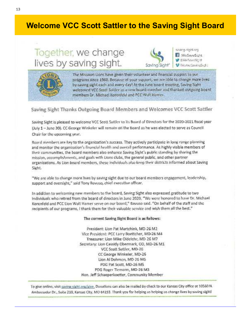#### **Welcome VCC Scott Sattler to the Saving Sight Board**

## Together, we change lives by saving sight.



prodrig-structure WeSaveSight **WINNERWASHIM** V McArdSsvingS.ols



The Missouri Lions have given their volunteer and financial support to our programs since 1960. Because of your support, we are able to change more lives. by saving sight each and every day! At the June board meeting, Saving Sight welcomed VCC Soot! Sattler as a new buard member and thanked outgoing board members Dr. Michael Korenfeld and PCC Well Hamer.

#### Saving Sight Thanks Outgoing Board Members and Welcomes VCC Scott Sattler

Saving Sight is pleased to welcome VCC Scott Sattler to its Board of Directors for the 2020-2021 fiscal year (July 1 - June 30). CC George Winkeler will remain on the Board as he was elected to serve as Council. Chair for the opcoming year.

Board members are key to the organization's success. They actively participate in long range planning and monitor the organization's linancial health and overall performance. As highly visible members of their communities, the board members also enhance Saving Sight's public standing by sharing the mission, accomplishments, and goals with Lions clubs, the general public, and other partner organizations. As Lion board members, these individuals also keep their districts informed about Saving Sight.

"We are able to change more lives by saving sight due to our board members engagement, leadership, support and oversight," said Tony Bavuso, chief executive officer.

In addition to welcoming new members to the board, Saving Sight also expressed gratitude to two individuals who retired from the board of directors in June 2020. "We were honored to have Dr. Michael Korenfeld and PCC Lion Walt Hamer serve on our board," Bavuso said. "On behalf of the staff and the recipients of our programs, I thank them for their valuable service and wish them all the best."

#### The current Saving Sight Board is as follows:

President: Lion Pat Martchink, MD-26 M2 Vice President: PCC Larry Boettcher, MD-26 M4 Treasurer: Lion Mike Oldelehr, MD 26 M7 Secretary: Lion Cassidy Obermark, OD, MD-26 M1 VCC Scott Sattler, MD-26 CC George Winkeler, MD-26 Lion Al Dohmen, MD-26 M6 PDG Pat Scott, MD-26 MS PDG Rover Tiemann, MD-26 M3 Hon. Jeff Schaeperkoetter, Community Member

To give online, visit saving sight.org/give. Donations can also be mailed by check to our Kansas City office at 10560 N. Ambassador Dr., Suile 210, Kansas City, MO 64153. Thank you for helping us belping us change lives by saving sight!